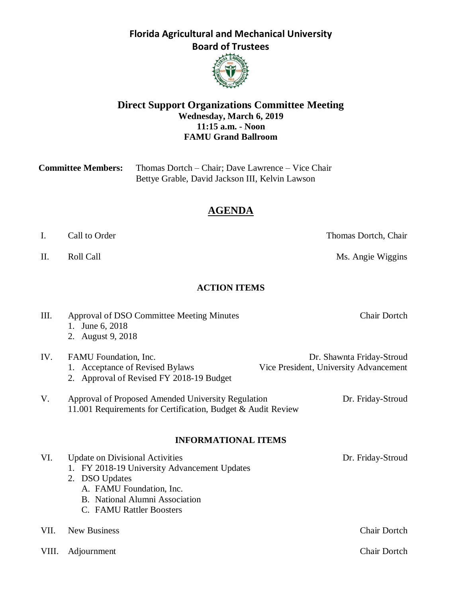

#### **Direct Support Organizations Committee Meeting Wednesday, March 6, 2019 11:15 a.m. - Noon FAMU Grand Ballroom**

| <b>Committee Members:</b> | Thomas Dortch – Chair; Dave Lawrence – Vice Chair |
|---------------------------|---------------------------------------------------|
|                           | Bettye Grable, David Jackson III, Kelvin Lawson   |

# **AGENDA**

I. Call to Order Thomas Dortch, Chair

II. Roll Call **Call Call Call** Roll Call **Ms.** Angie Wiggins

### **ACTION ITEMS**

| Ш.    | Approval of DSO Committee Meeting Minutes<br>June 6, 2018<br>1.<br>2. August 9, 2018                                                                                                                   | <b>Chair Dortch</b>                                                 |
|-------|--------------------------------------------------------------------------------------------------------------------------------------------------------------------------------------------------------|---------------------------------------------------------------------|
| IV.   | FAMU Foundation, Inc.<br><b>Acceptance of Revised Bylaws</b><br>2. Approval of Revised FY 2018-19 Budget                                                                                               | Dr. Shawnta Friday-Stroud<br>Vice President, University Advancement |
| V.    | Approval of Proposed Amended University Regulation<br>11.001 Requirements for Certification, Budget & Audit Review                                                                                     | Dr. Friday-Stroud                                                   |
|       | <b>INFORMATIONAL ITEMS</b>                                                                                                                                                                             |                                                                     |
| VI.   | <b>Update on Divisional Activities</b><br>FY 2018-19 University Advancement Updates<br>2. DSO Updates<br>A. FAMU Foundation, Inc.<br><b>B.</b> National Alumni Association<br>C. FAMU Rattler Boosters | Dr. Friday-Stroud                                                   |
| VII.  | <b>New Business</b>                                                                                                                                                                                    | <b>Chair Dortch</b>                                                 |
| VIII. | Adjournment                                                                                                                                                                                            | <b>Chair Dortch</b>                                                 |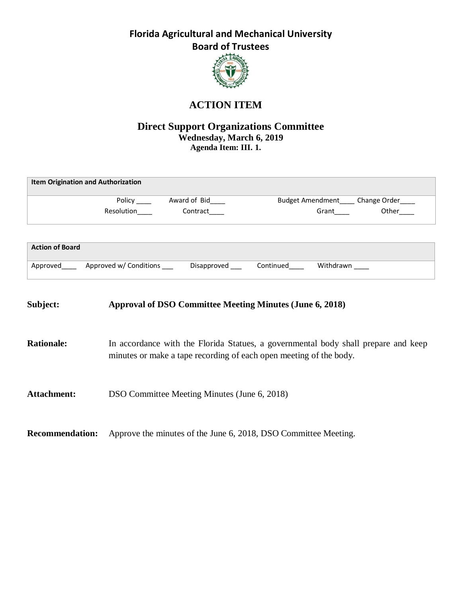

# **ACTION ITEM**

### **Direct Support Organizations Committee Wednesday, March 6, 2019 Agenda Item: III. 1.**

|                        | <b>Item Origination and Authorization</b> |                |           |                         |              |
|------------------------|-------------------------------------------|----------------|-----------|-------------------------|--------------|
|                        | Policy                                    | Award of Bid   |           | <b>Budget Amendment</b> | Change Order |
|                        | Resolution                                | Contract       |           | Grant                   | Other        |
|                        |                                           |                |           |                         |              |
| <b>Action of Board</b> |                                           |                |           |                         |              |
| Approved               | Approved w/ Conditions                    | Disapproved __ | Continued | Withdrawn               |              |
|                        |                                           |                |           |                         |              |
|                        |                                           |                |           |                         |              |

| Subject:               | <b>Approval of DSO Committee Meeting Minutes (June 6, 2018)</b>                                                                                          |
|------------------------|----------------------------------------------------------------------------------------------------------------------------------------------------------|
| <b>Rationale:</b>      | In accordance with the Florida Statues, a governmental body shall prepare and keep<br>minutes or make a tape recording of each open meeting of the body. |
| <b>Attachment:</b>     | DSO Committee Meeting Minutes (June 6, 2018)                                                                                                             |
| <b>Recommendation:</b> | Approve the minutes of the June 6, 2018, DSO Committee Meeting.                                                                                          |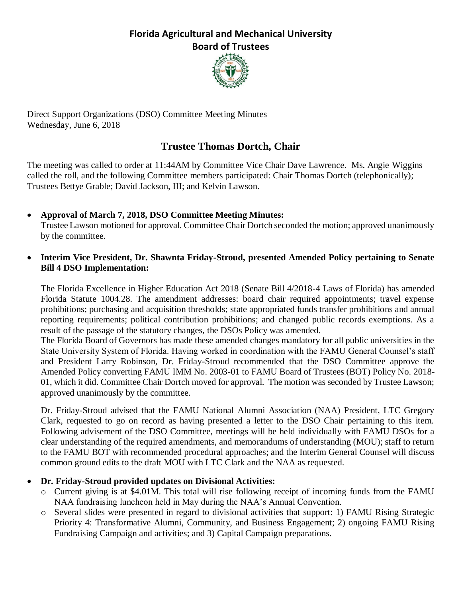

Direct Support Organizations (DSO) Committee Meeting Minutes Wednesday, June 6, 2018

# **Trustee Thomas Dortch, Chair**

The meeting was called to order at 11:44AM by Committee Vice Chair Dave Lawrence. Ms. Angie Wiggins called the roll, and the following Committee members participated: Chair Thomas Dortch (telephonically); Trustees Bettye Grable; David Jackson, III; and Kelvin Lawson.

- **Approval of March 7, 2018, DSO Committee Meeting Minutes:** Trustee Lawson motioned for approval. Committee Chair Dortch seconded the motion; approved unanimously by the committee.
- **Interim Vice President, Dr. Shawnta Friday-Stroud, presented Amended Policy pertaining to Senate Bill 4 DSO Implementation:**

The Florida Excellence in Higher Education Act 2018 (Senate Bill 4/2018-4 Laws of Florida) has amended Florida Statute 1004.28. The amendment addresses: board chair required appointments; travel expense prohibitions; purchasing and acquisition thresholds; state appropriated funds transfer prohibitions and annual reporting requirements; political contribution prohibitions; and changed public records exemptions. As a result of the passage of the statutory changes, the DSOs Policy was amended.

The Florida Board of Governors has made these amended changes mandatory for all public universities in the State University System of Florida. Having worked in coordination with the FAMU General Counsel's staff and President Larry Robinson, Dr. Friday-Stroud recommended that the DSO Committee approve the Amended Policy converting FAMU IMM No. 2003-01 to FAMU Board of Trustees (BOT) Policy No. 2018- 01, which it did. Committee Chair Dortch moved for approval. The motion was seconded by Trustee Lawson; approved unanimously by the committee.

Dr. Friday-Stroud advised that the FAMU National Alumni Association (NAA) President, LTC Gregory Clark, requested to go on record as having presented a letter to the DSO Chair pertaining to this item. Following advisement of the DSO Committee, meetings will be held individually with FAMU DSOs for a clear understanding of the required amendments, and memorandums of understanding (MOU); staff to return to the FAMU BOT with recommended procedural approaches; and the Interim General Counsel will discuss common ground edits to the draft MOU with LTC Clark and the NAA as requested.

### • **Dr. Friday-Stroud provided updates on Divisional Activities:**

- $\circ$  Current giving is at \$4.01M. This total will rise following receipt of incoming funds from the FAMU NAA fundraising luncheon held in May during the NAA's Annual Convention.
- o Several slides were presented in regard to divisional activities that support: 1) FAMU Rising Strategic Priority 4: Transformative Alumni, Community, and Business Engagement; 2) ongoing FAMU Rising Fundraising Campaign and activities; and 3) Capital Campaign preparations.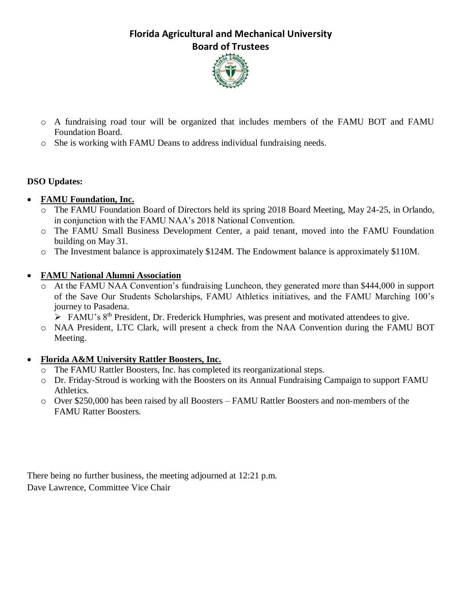

- o A fundraising road tour will be organized that includes members of the FAMU BOT and FAMU Foundation Board.
- o She is working with FAMU Deans to address individual fundraising needs.

### **DSO Updates:**

### • **FAMU Foundation, Inc.**

- o The FAMU Foundation Board of Directors held its spring 2018 Board Meeting, May 24-25, in Orlando, in conjunction with the FAMU NAA's 2018 National Convention.
- o The FAMU Small Business Development Center, a paid tenant, moved into the FAMU Foundation building on May 31.
- o The Investment balance is approximately \$124M. The Endowment balance is approximately \$110M.

### • **FAMU National Alumni Association**

- o At the FAMU NAA Convention's fundraising Luncheon, they generated more than \$444,000 in support of the Save Our Students Scholarships, FAMU Athletics initiatives, and the FAMU Marching 100's journey to Pasadena.
	- ➢ FAMU's 8th President, Dr. Frederick Humphries, was present and motivated attendees to give.
- o NAA President, LTC Clark, will present a check from the NAA Convention during the FAMU BOT Meeting.

### • **Florida A&M University Rattler Boosters, Inc.**

- o The FAMU Rattler Boosters, Inc. has completed its reorganizational steps.
- o Dr. Friday-Stroud is working with the Boosters on its Annual Fundraising Campaign to support FAMU Athletics.
- o Over \$250,000 has been raised by all Boosters FAMU Rattler Boosters and non-members of the FAMU Ratter Boosters.

There being no further business, the meeting adjourned at 12:21 p.m. Dave Lawrence, Committee Vice Chair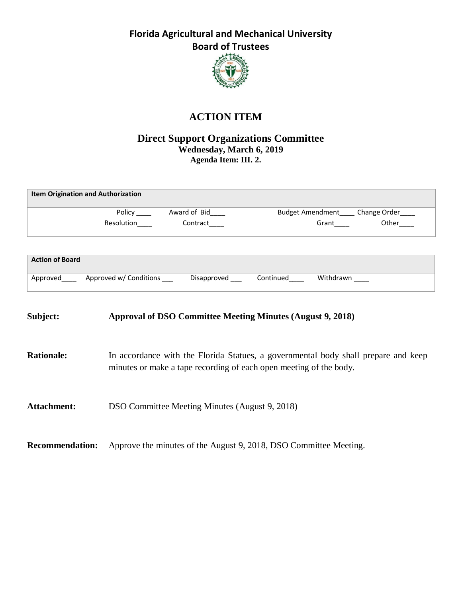

# **ACTION ITEM**

### **Direct Support Organizations Committee Wednesday, March 6, 2019 Agenda Item: III. 2.**

|                        | <b>Item Origination and Authorization</b>                                                |                                                                                                                                                          |  |                                                                                                                                                                                                                                    |       |  |
|------------------------|------------------------------------------------------------------------------------------|----------------------------------------------------------------------------------------------------------------------------------------------------------|--|------------------------------------------------------------------------------------------------------------------------------------------------------------------------------------------------------------------------------------|-------|--|
|                        |                                                                                          |                                                                                                                                                          |  | Budget Amendment____ Change Order____                                                                                                                                                                                              |       |  |
|                        |                                                                                          | Contract                                                                                                                                                 |  | <b>Grant Contract Contract Contract Contract Contract Contract Contract Contract Contract Contract Contract Contract Contract Contract Contract Contract Contract Contract Contract Contract Contract Contract Contract Contra</b> | Other |  |
|                        |                                                                                          |                                                                                                                                                          |  |                                                                                                                                                                                                                                    |       |  |
| <b>Action of Board</b> |                                                                                          |                                                                                                                                                          |  |                                                                                                                                                                                                                                    |       |  |
|                        | Approved Approved w/ Conditions Disapproved Continued Withdrawn                          |                                                                                                                                                          |  |                                                                                                                                                                                                                                    |       |  |
| Subject:               | <b>Approval of DSO Committee Meeting Minutes (August 9, 2018)</b>                        |                                                                                                                                                          |  |                                                                                                                                                                                                                                    |       |  |
| <b>Rationale:</b>      |                                                                                          | In accordance with the Florida Statues, a governmental body shall prepare and keep<br>minutes or make a tape recording of each open meeting of the body. |  |                                                                                                                                                                                                                                    |       |  |
| <b>Attachment:</b>     | DSO Committee Meeting Minutes (August 9, 2018)                                           |                                                                                                                                                          |  |                                                                                                                                                                                                                                    |       |  |
|                        | <b>Recommendation:</b> Approve the minutes of the August 9, 2018, DSO Committee Meeting. |                                                                                                                                                          |  |                                                                                                                                                                                                                                    |       |  |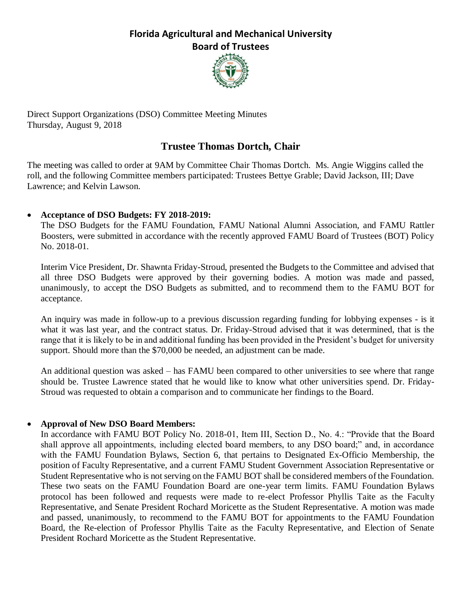

Direct Support Organizations (DSO) Committee Meeting Minutes Thursday, August 9, 2018

### **Trustee Thomas Dortch, Chair**

The meeting was called to order at 9AM by Committee Chair Thomas Dortch. Ms. Angie Wiggins called the roll, and the following Committee members participated: Trustees Bettye Grable; David Jackson, III; Dave Lawrence; and Kelvin Lawson.

### • **Acceptance of DSO Budgets: FY 2018-2019:**

The DSO Budgets for the FAMU Foundation, FAMU National Alumni Association, and FAMU Rattler Boosters, were submitted in accordance with the recently approved FAMU Board of Trustees (BOT) Policy No. 2018-01.

Interim Vice President, Dr. Shawnta Friday-Stroud, presented the Budgets to the Committee and advised that all three DSO Budgets were approved by their governing bodies. A motion was made and passed, unanimously, to accept the DSO Budgets as submitted, and to recommend them to the FAMU BOT for acceptance.

An inquiry was made in follow-up to a previous discussion regarding funding for lobbying expenses - is it what it was last year, and the contract status. Dr. Friday-Stroud advised that it was determined, that is the range that it is likely to be in and additional funding has been provided in the President's budget for university support. Should more than the \$70,000 be needed, an adjustment can be made.

An additional question was asked – has FAMU been compared to other universities to see where that range should be. Trustee Lawrence stated that he would like to know what other universities spend. Dr. Friday-Stroud was requested to obtain a comparison and to communicate her findings to the Board.

### • **Approval of New DSO Board Members:**

In accordance with FAMU BOT Policy No. 2018-01, Item III, Section D., No. 4.: "Provide that the Board shall approve all appointments, including elected board members, to any DSO board;" and, in accordance with the FAMU Foundation Bylaws, Section 6, that pertains to Designated Ex-Officio Membership, the position of Faculty Representative, and a current FAMU Student Government Association Representative or Student Representative who is not serving on the FAMU BOT shall be considered members of the Foundation. These two seats on the FAMU Foundation Board are one-year term limits. FAMU Foundation Bylaws protocol has been followed and requests were made to re-elect Professor Phyllis Taite as the Faculty Representative, and Senate President Rochard Moricette as the Student Representative. A motion was made and passed, unanimously, to recommend to the FAMU BOT for appointments to the FAMU Foundation Board, the Re-election of Professor Phyllis Taite as the Faculty Representative, and Election of Senate President Rochard Moricette as the Student Representative.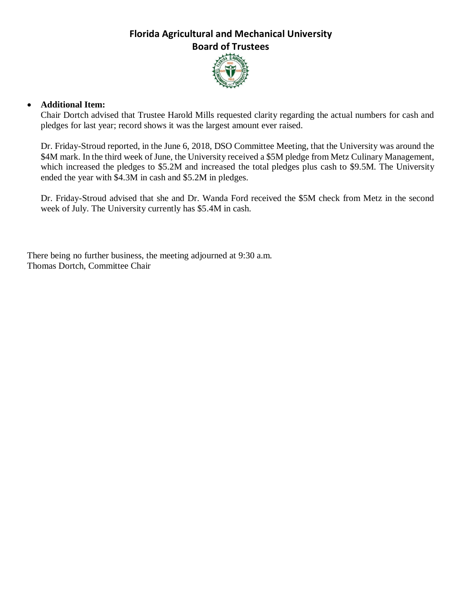

#### • **Additional Item:**

Chair Dortch advised that Trustee Harold Mills requested clarity regarding the actual numbers for cash and pledges for last year; record shows it was the largest amount ever raised.

Dr. Friday-Stroud reported, in the June 6, 2018, DSO Committee Meeting, that the University was around the \$4M mark. In the third week of June, the University received a \$5M pledge from Metz Culinary Management, which increased the pledges to \$5.2M and increased the total pledges plus cash to \$9.5M. The University ended the year with \$4.3M in cash and \$5.2M in pledges.

Dr. Friday-Stroud advised that she and Dr. Wanda Ford received the \$5M check from Metz in the second week of July. The University currently has \$5.4M in cash.

There being no further business, the meeting adjourned at 9:30 a.m. Thomas Dortch, Committee Chair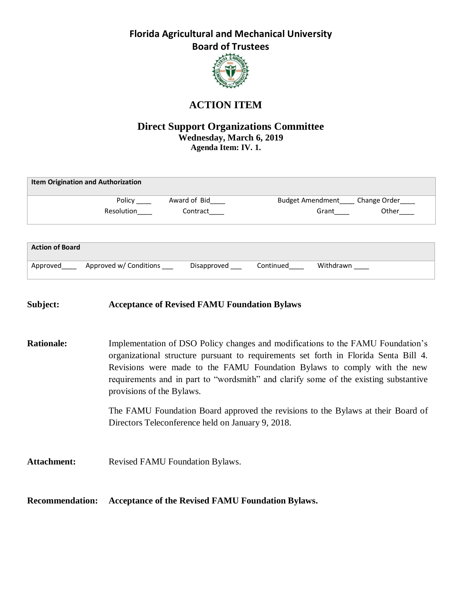

# **ACTION ITEM**

#### **Direct Support Organizations Committee Wednesday, March 6, 2019 Agenda Item: IV. 1.**

|                        | <b>Item Origination and Authorization</b> |              |                         |              |
|------------------------|-------------------------------------------|--------------|-------------------------|--------------|
|                        | Policy                                    | Award of Bid | <b>Budget Amendment</b> | Change Order |
|                        | Resolution                                | Contract     | Grant                   | Other        |
|                        |                                           |              |                         |              |
|                        |                                           |              |                         |              |
| <b>Action of Board</b> |                                           |              |                         |              |
| Approved               | Approved w/ Conditions                    | Disapproved  | Withdrawn<br>Continued  |              |

#### **Subject: Acceptance of Revised FAMU Foundation Bylaws**

**Rationale:** Implementation of DSO Policy changes and modifications to the FAMU Foundation's organizational structure pursuant to requirements set forth in Florida Senta Bill 4. Revisions were made to the FAMU Foundation Bylaws to comply with the new requirements and in part to "wordsmith" and clarify some of the existing substantive provisions of the Bylaws.

> The FAMU Foundation Board approved the revisions to the Bylaws at their Board of Directors Teleconference held on January 9, 2018.

Attachment: Revised FAMU Foundation Bylaws.

**Recommendation: Acceptance of the Revised FAMU Foundation Bylaws.**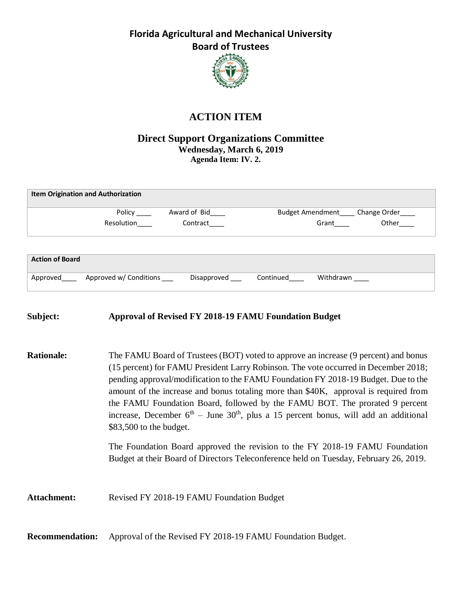

### **ACTION ITEM**

#### **Direct Support Organizations Committee Wednesday, March 6, 2019 Agenda Item: IV. 2.**

|                        | <b>Item Origination and Authorization</b> |              |                         |              |
|------------------------|-------------------------------------------|--------------|-------------------------|--------------|
|                        | Policy                                    | Award of Bid | <b>Budget Amendment</b> | Change Order |
|                        | Resolution                                | Contract     | Grant                   | Other        |
|                        |                                           |              |                         |              |
| <b>Action of Board</b> |                                           |              |                         |              |
| Approved               | Approved w/ Conditions                    | Disapproved  | Withdrawn<br>Continued  |              |

#### **Subject: Approval of Revised FY 2018-19 FAMU Foundation Budget**

**Rationale:** The FAMU Board of Trustees (BOT) voted to approve an increase (9 percent) and bonus (15 percent) for FAMU President Larry Robinson. The vote occurred in December 2018; pending approval/modification to the FAMU Foundation FY 2018-19 Budget. Due to the amount of the increase and bonus totaling more than \$40K, approval is required from the FAMU Foundation Board, followed by the FAMU BOT. The prorated 9 percent increase, December  $6<sup>th</sup>$  – June  $30<sup>th</sup>$ , plus a 15 percent bonus, will add an additional \$83,500 to the budget.

> The Foundation Board approved the revision to the FY 2018-19 FAMU Foundation Budget at their Board of Directors Teleconference held on Tuesday, February 26, 2019.

Attachment: Revised FY 2018-19 FAMU Foundation Budget

**Recommendation:** Approval of the Revised FY 2018-19 FAMU Foundation Budget.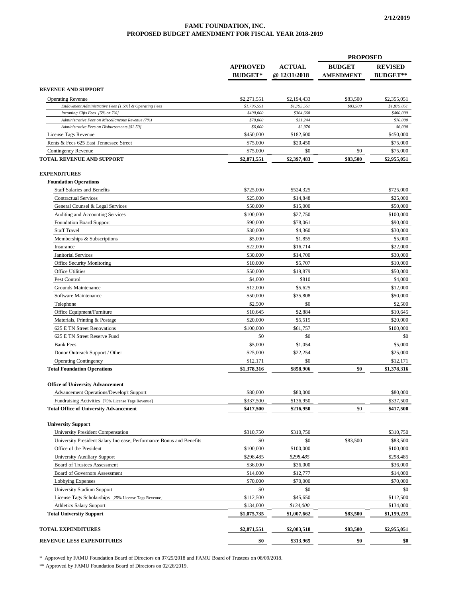#### **FAMU FOUNDATION, INC. PROPOSED BUDGET AMENDMENT FOR FISCAL YEAR 2018-2019**

|                                                                                         |                                   |                              | <b>PROPOSED</b>                   |                                   |
|-----------------------------------------------------------------------------------------|-----------------------------------|------------------------------|-----------------------------------|-----------------------------------|
|                                                                                         | <b>APPROVED</b><br><b>BUDGET*</b> | <b>ACTUAL</b><br>@12/31/2018 | <b>BUDGET</b><br><b>AMENDMENT</b> | <b>REVISED</b><br><b>BUDGET**</b> |
| REVENUE AND SUPPORT                                                                     |                                   |                              |                                   |                                   |
|                                                                                         |                                   |                              |                                   |                                   |
| <b>Operating Revenue</b>                                                                | \$2,271,551<br>\$1,795,551        | \$2,194,433<br>\$1,795,551   | \$83,500<br>\$83,500              | \$2,355,051<br>\$1,879,051        |
| Endowment Administrative Fees [1.5%] & Operating Fees<br>Incoming Gifts Fees [5% or 7%] | \$400,000                         | \$364,668                    |                                   | \$400,000                         |
| Administrative Fees on Miscellaneous Revenue (7%)                                       | \$70,000                          | \$31,244                     |                                   | \$70,000                          |
| Administrative Fees on Disbursements [\$2.50]                                           | \$6,000                           | \$2,970                      |                                   | \$6,000                           |
| License Tags Revenue                                                                    | \$450,000                         | \$182,600                    |                                   | \$450,000                         |
| Rents & Fees 625 East Tennessee Street                                                  | \$75,000                          | \$20,450                     |                                   | \$75,000                          |
| Contingency Revenue                                                                     | \$75,000                          | \$0                          | \$0                               | \$75,000                          |
| TOTAL REVENUE AND SUPPORT                                                               | \$2,871,551                       | \$2,397,483                  | \$83,500                          | \$2,955,051                       |
| <b>EXPENDITURES</b>                                                                     |                                   |                              |                                   |                                   |
| <b>Foundation Operations</b>                                                            |                                   |                              |                                   |                                   |
| <b>Staff Salaries and Benefits</b>                                                      | \$725,000                         | \$524,325                    |                                   | \$725,000                         |
| <b>Contractual Services</b>                                                             | \$25,000                          | \$14,848                     |                                   | \$25,000                          |
| General Counsel & Legal Services                                                        | \$50,000                          | \$15,000                     |                                   | \$50,000                          |
| Auditing and Accounting Services                                                        | \$100,000                         | \$27,750                     |                                   | \$100,000                         |
| <b>Foundation Board Support</b>                                                         | \$90,000                          | \$78,061                     |                                   | \$90,000                          |
| <b>Staff Travel</b>                                                                     | \$30,000                          | \$4,360                      |                                   | \$30,000                          |
|                                                                                         | \$5,000                           | \$1,855                      |                                   | \$5,000                           |
| Memberships & Subscriptions                                                             | \$22,000                          | \$16,714                     |                                   | \$22,000                          |
| Insurance                                                                               |                                   |                              |                                   | \$30,000                          |
| Janitorial Services                                                                     | \$30,000<br>\$10,000              | \$14,700                     |                                   |                                   |
| <b>Office Security Monitoring</b>                                                       |                                   | \$5,707                      |                                   | \$10,000                          |
| Office Utilities                                                                        | \$50,000                          | \$19,879                     |                                   | \$50,000                          |
| Pest Control                                                                            | \$4,000                           | \$810                        |                                   | \$4,000                           |
| Grounds Maintenance                                                                     | \$12,000                          | \$5,625                      |                                   | \$12,000                          |
| Software Maintenance                                                                    | \$50,000                          | \$35,808                     |                                   | \$50,000                          |
| Telephone                                                                               | \$2,500                           | \$0                          |                                   | \$2,500                           |
| Office Equipment/Furniture                                                              | \$10,645                          | \$2,884                      |                                   | \$10,645                          |
| Materials, Printing & Postage                                                           | \$20,000                          | \$5,515                      |                                   | \$20,000                          |
| 625 E TN Street Renovations                                                             | \$100,000                         | \$61,757                     |                                   | \$100,000                         |
| 625 E TN Street Reserve Fund                                                            | \$0                               | \$0                          |                                   | \$0                               |
| <b>Bank Fees</b>                                                                        | \$5,000                           | \$1,054                      |                                   | \$5,000                           |
| Donor Outreach Support / Other                                                          | \$25,000                          | \$22,254                     |                                   | \$25,000                          |
| <b>Operating Contingency</b><br><b>Total Foundation Operations</b>                      | \$12,171<br>\$1,378,316           | \$0<br>\$858.906             | \$0                               | \$12,171<br>\$1,378,316           |
|                                                                                         |                                   |                              |                                   |                                   |
| <b>Office of University Advancement</b>                                                 |                                   |                              |                                   |                                   |
| Advancement Operations/Develop't Support                                                | \$80,000                          | \$80,000                     |                                   | \$80,000                          |
| Fundraising Activities [75% License Tags Revenue]                                       | \$337,500                         | \$136,950                    |                                   | \$337,500                         |
| <b>Total Office of University Advancement</b>                                           | \$417,500                         | \$216,950                    | \$0                               | \$417,500                         |
| <b>University Support</b>                                                               |                                   |                              |                                   |                                   |
| University President Compensation                                                       | \$310,750                         | \$310,750                    |                                   | \$310,750                         |
| University President Salary Increase, Performance Bonus and Benefits                    | \$0                               | \$0                          | \$83,500                          | \$83,500                          |
| Office of the President                                                                 | \$100,000                         | \$100,000                    |                                   | \$100,000                         |
| <b>University Auxiliary Support</b>                                                     | \$298,485                         | \$298,485                    |                                   | \$298,485                         |
| Board of Trustees Assessment                                                            | \$36,000                          | \$36,000                     |                                   | \$36,000                          |
| Board of Governors Assessment                                                           | \$14,000                          | \$12,777                     |                                   | \$14,000                          |
| Lobbying Expenses                                                                       | \$70,000                          | \$70,000                     |                                   | \$70,000                          |
| University Stadium Support                                                              | \$0                               | \$0                          |                                   | \$0                               |
| License Tags Scholarships [25% License Tags Revenue]                                    | \$112,500                         | \$45,650                     |                                   | \$112,500                         |
| <b>Athletics Salary Support</b>                                                         | \$134,000                         | \$134,000                    |                                   | \$134,000                         |
| <b>Total University Support</b>                                                         | \$1,075,735                       | \$1,007,662                  | \$83,500                          | \$1,159,235                       |
| <b>TOTAL EXPENDITURES</b>                                                               | \$2,871,551                       | \$2,083,518                  | \$83,500                          | \$2,955,051                       |
| <b>REVENUE LESS EXPENDITURES</b>                                                        | \$0                               | \$313,965                    | \$0                               | \$0                               |
|                                                                                         |                                   |                              |                                   |                                   |

\* Approved by FAMU Foundation Board of Directors on 07/25/2018 and FAMU Board of Trustees on 08/09/2018.

\*\* Approved by FAMU Foundation Board of Directors on 02/26/2019.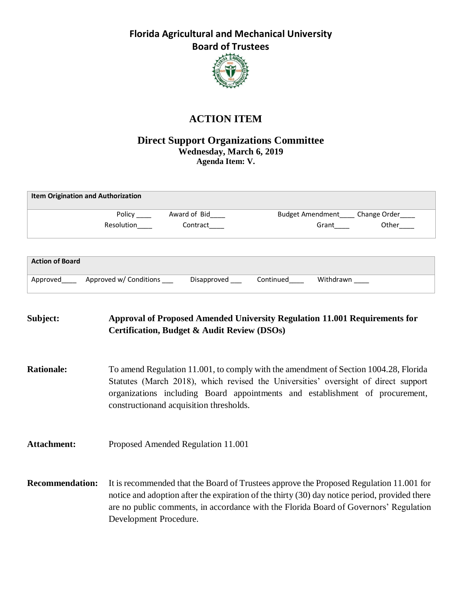

### **ACTION ITEM**

#### **Direct Support Organizations Committee Wednesday, March 6, 2019 Agenda Item: V.**

| <b>Item Origination and Authorization</b> |            |              |                                       |       |  |
|-------------------------------------------|------------|--------------|---------------------------------------|-------|--|
|                                           | Policy     | Award of Bid | Budget Amendment____ Change Order____ |       |  |
|                                           | Resolution | Contract     | Grant                                 | Other |  |
|                                           |            |              |                                       |       |  |
| <b>Action of Board</b>                    |            |              |                                       |       |  |

| Approved | Approved w/ Conditions | Disapproved | `ontinued | Withdrawn |
|----------|------------------------|-------------|-----------|-----------|
|          |                        |             |           |           |

# **Subject: Approval of Proposed Amended University Regulation 11.001 Requirements for Certification, Budget & Audit Review (DSOs) Rationale:** To amend Regulation 11.001, to comply with the amendment of Section 1004.28, Florida Statutes (March 2018), which revised the Universities' oversight of direct support organizations including Board appointments and establishment of procurement, constructionand acquisition thresholds. **Attachment:** Proposed Amended Regulation 11.001 **Recommendation:** It is recommended that the Board of Trustees approve the Proposed Regulation 11.001 for notice and adoption after the expiration of the thirty (30) day notice period, provided there are no public comments, in accordance with the Florida Board of Governors' Regulation Development Procedure.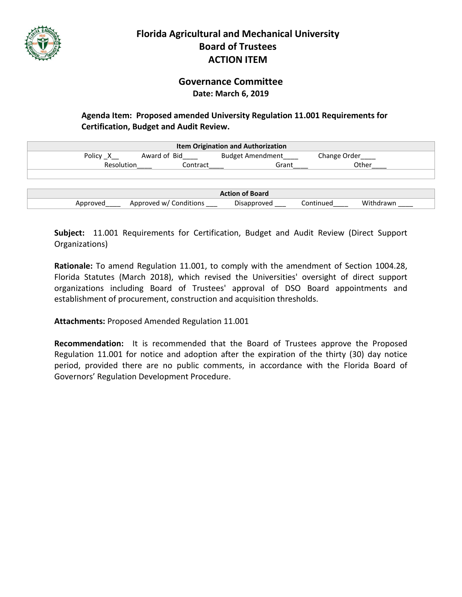

### **Governance Committee Date: March 6, 2019**

#### **Agenda Item: Proposed amended University Regulation 11.001 Requirements for Certification, Budget and Audit Review.**

| <b>Item Origination and Authorization</b> |                        |                         |                        |  |  |  |
|-------------------------------------------|------------------------|-------------------------|------------------------|--|--|--|
| Policy X                                  | Award of Bid           | <b>Budget Amendment</b> | Change Order           |  |  |  |
| Resolution                                | Contract               | Grant                   | Other                  |  |  |  |
|                                           |                        |                         |                        |  |  |  |
|                                           |                        |                         |                        |  |  |  |
| <b>Action of Board</b>                    |                        |                         |                        |  |  |  |
| Approved                                  | Approved w/ Conditions | Disapproved             | Withdrawn<br>Continued |  |  |  |

**Subject:** 11.001 Requirements for Certification, Budget and Audit Review (Direct Support Organizations)

**Rationale:** To amend Regulation 11.001, to comply with the amendment of Section 1004.28, Florida Statutes (March 2018), which revised the Universities' oversight of direct support organizations including Board of Trustees' approval of DSO Board appointments and establishment of procurement, construction and acquisition thresholds.

**Attachments:** Proposed Amended Regulation 11.001

**Recommendation:** It is recommended that the Board of Trustees approve the Proposed Regulation 11.001 for notice and adoption after the expiration of the thirty (30) day notice period, provided there are no public comments, in accordance with the Florida Board of Governors' Regulation Development Procedure.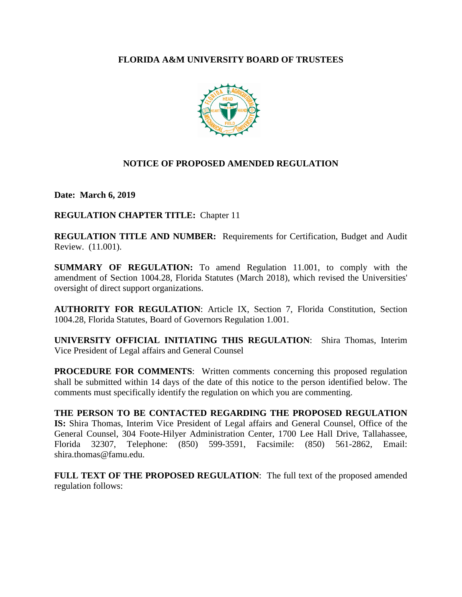#### **FLORIDA A&M UNIVERSITY BOARD OF TRUSTEES**



#### **NOTICE OF PROPOSED AMENDED REGULATION**

**Date: March 6, 2019**

**REGULATION CHAPTER TITLE:** Chapter 11

**REGULATION TITLE AND NUMBER:** Requirements for Certification, Budget and Audit Review. (11.001).

**SUMMARY OF REGULATION:** To amend Regulation 11.001, to comply with the amendment of Section 1004.28, Florida Statutes (March 2018), which revised the Universities' oversight of direct support organizations.

**AUTHORITY FOR REGULATION**: Article IX, Section 7, Florida Constitution, Section 1004.28, Florida Statutes, Board of Governors Regulation 1.001.

**UNIVERSITY OFFICIAL INITIATING THIS REGULATION**: Shira Thomas, Interim Vice President of Legal affairs and General Counsel

**PROCEDURE FOR COMMENTS:** Written comments concerning this proposed regulation shall be submitted within 14 days of the date of this notice to the person identified below. The comments must specifically identify the regulation on which you are commenting.

**THE PERSON TO BE CONTACTED REGARDING THE PROPOSED REGULATION IS:** Shira Thomas, Interim Vice President of Legal affairs and General Counsel, Office of the General Counsel, 304 Foote-Hilyer Administration Center, 1700 Lee Hall Drive, Tallahassee, Florida 32307, Telephone: (850) 599-3591, Facsimile: (850) 561-2862, Email: shira.thomas@famu.edu.

**FULL TEXT OF THE PROPOSED REGULATION**: The full text of the proposed amended regulation follows: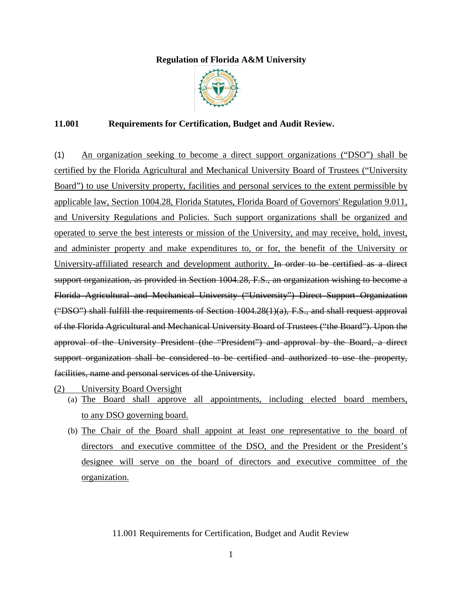#### **Regulation of Florida A&M University**



#### **11.001 Requirements for Certification, Budget and Audit Review.**

(1) An organization seeking to become a direct support organizations ("DSO") shall be certified by the Florida Agricultural and Mechanical University Board of Trustees ("University Board") to use University property, facilities and personal services to the extent permissible by applicable law, Section 1004.28, Florida Statutes, Florida Board of Governors' Regulation 9.011, and University Regulations and Policies. Such support organizations shall be organized and operated to serve the best interests or mission of the University, and may receive, hold, invest, and administer property and make expenditures to, or for, the benefit of the University or University-affiliated research and development authority. In order to be certified as a direct support organization, as provided in Section 1004.28, F.S., an organization wishing to become a Florida Agricultural and Mechanical University ("University") Direct Support Organization ("DSO") shall fulfill the requirements of Section 1004.28(1)(a), F.S., and shall request approval of the Florida Agricultural and Mechanical University Board of Trustees ("the Board"). Upon the approval of the University President (the "President") and approval by the Board, a direct support organization shall be considered to be certified and authorized to use the property, facilities, name and personal services of the University.

- (2) University Board Oversight
	- (a) The Board shall approve all appointments, including elected board members, to any DSO governing board.
	- (b) The Chair of the Board shall appoint at least one representative to the board of directors and executive committee of the DSO, and the President or the President's designee will serve on the board of directors and executive committee of the organization.

#### 11.001 Requirements for Certification, Budget and Audit Review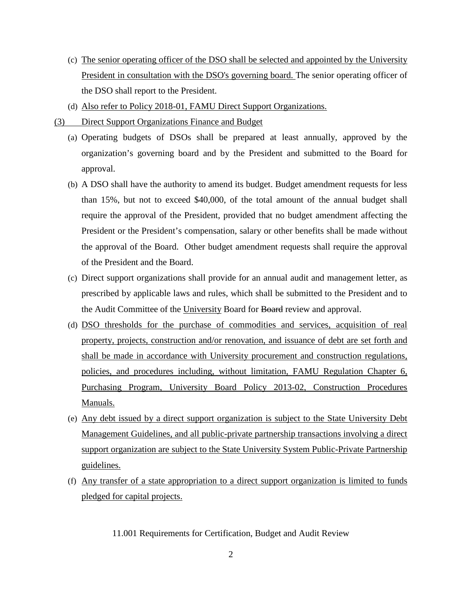- (c) The senior operating officer of the DSO shall be selected and appointed by the University President in consultation with the DSO's governing board. The senior operating officer of the DSO shall report to the President.
- (d) Also refer to Policy 2018-01, FAMU Direct Support Organizations.
- (3) Direct Support Organizations Finance and Budget
	- (a) Operating budgets of DSOs shall be prepared at least annually, approved by the organization's governing board and by the President and submitted to the Board for approval.
	- (b) A DSO shall have the authority to amend its budget. Budget amendment requests for less than 15%, but not to exceed \$40,000, of the total amount of the annual budget shall require the approval of the President, provided that no budget amendment affecting the President or the President's compensation, salary or other benefits shall be made without the approval of the Board. Other budget amendment requests shall require the approval of the President and the Board.
	- (c) Direct support organizations shall provide for an annual audit and management letter, as prescribed by applicable laws and rules, which shall be submitted to the President and to the Audit Committee of the University Board for Board review and approval.
	- (d) DSO thresholds for the purchase of commodities and services, acquisition of real property, projects, construction and/or renovation, and issuance of debt are set forth and shall be made in accordance with University procurement and construction regulations, policies, and procedures including, without limitation, FAMU Regulation Chapter 6, Purchasing Program, University Board Policy 2013-02, Construction Procedures Manuals.
	- (e) Any debt issued by a direct support organization is subject to the State University Debt Management Guidelines, and all public-private partnership transactions involving a direct support organization are subject to the State University System Public-Private Partnership guidelines.
	- (f) Any transfer of a state appropriation to a direct support organization is limited to funds pledged for capital projects.

11.001 Requirements for Certification, Budget and Audit Review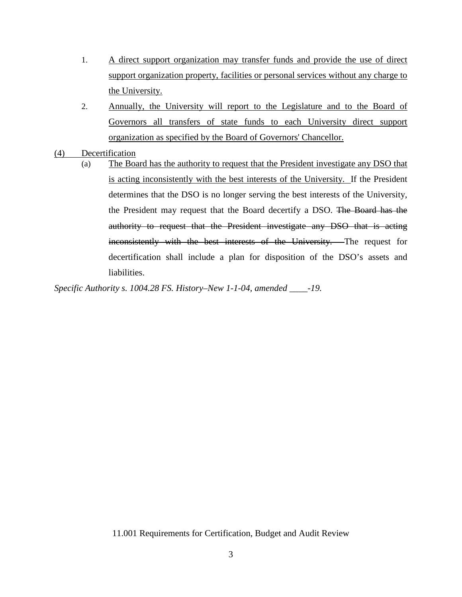- 1. A direct support organization may transfer funds and provide the use of direct support organization property, facilities or personal services without any charge to the University.
- 2. Annually, the University will report to the Legislature and to the Board of Governors all transfers of state funds to each University direct support organization as specified by the Board of Governors' Chancellor.
- (4) Decertification
	- (a) The Board has the authority to request that the President investigate any DSO that is acting inconsistently with the best interests of the University. If the President determines that the DSO is no longer serving the best interests of the University, the President may request that the Board decertify a DSO. The Board has the authority to request that the President investigate any DSO that is acting inconsistently with the best interests of the University. The request for decertification shall include a plan for disposition of the DSO's assets and liabilities.

*Specific Authority s. 1004.28 FS. History–New 1-1-04, amended \_\_\_\_-19.*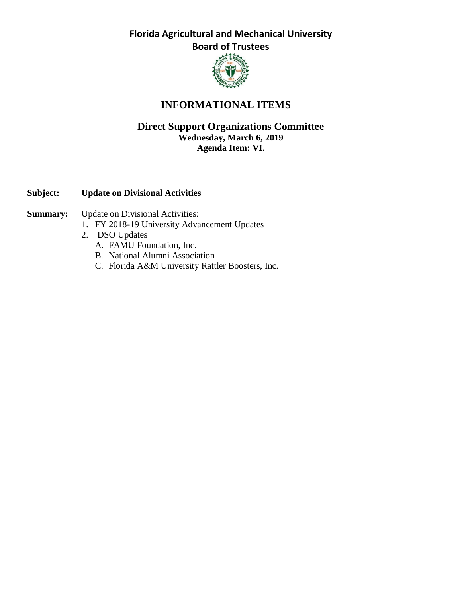

### **INFORMATIONAL ITEMS**

#### **Direct Support Organizations Committee Wednesday, March 6, 2019 Agenda Item: VI.**

#### **Subject: Update on Divisional Activities**

#### **Summary:** Update on Divisional Activities:

- 1. FY 2018-19 University Advancement Updates
- 2. DSO Updates
	- A. FAMU Foundation, Inc.
	- B. National Alumni Association
	- C. Florida A&M University Rattler Boosters, Inc.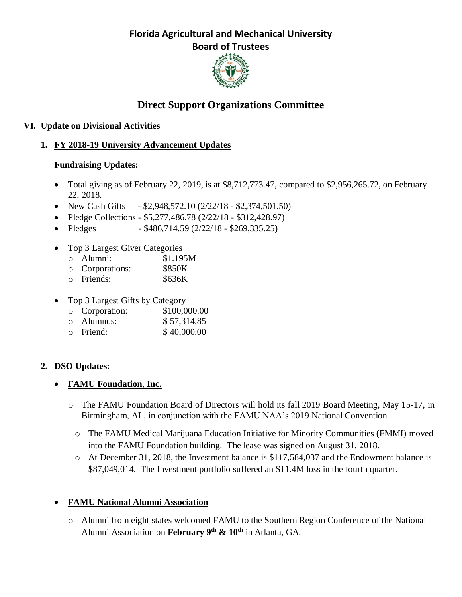

# **Direct Support Organizations Committee**

### **VI. Update on Divisional Activities**

### **1. FY 2018-19 University Advancement Updates**

### **Fundraising Updates:**

- Total giving as of February 22, 2019, is at \$8,712,773.47, compared to \$2,956,265.72, on February 22, 2018.
- New Cash Gifts  $-$  \$2,948,572.10 (2/22/18 \$2,374,501.50)
- Pledge Collections \$5,277,486.78 (2/22/18 \$312,428.97)
- Pledges  $$486,714.59$  (2/22/18 \$269,335.25)
- Top 3 Largest Giver Categories
	- o Alumni: \$1.195M
	- o Corporations: \$850K
	- o Friends: \$636K
- Top 3 Largest Gifts by Category
	- o Corporation: \$100,000.00
	- o Alumnus: \$ 57,314.85
	- o Friend: \$ 40,000.00

### **2. DSO Updates:**

- **FAMU Foundation, Inc.**
	- o The FAMU Foundation Board of Directors will hold its fall 2019 Board Meeting, May 15-17, in Birmingham, AL, in conjunction with the FAMU NAA's 2019 National Convention.
		- o The FAMU Medical Marijuana Education Initiative for Minority Communities (FMMI) moved into the FAMU Foundation building. The lease was signed on August 31, 2018.
		- o At December 31, 2018, the Investment balance is \$117,584,037 and the Endowment balance is \$87,049,014. The Investment portfolio suffered an \$11.4M loss in the fourth quarter.

### • **FAMU National Alumni Association**

o Alumni from eight states welcomed FAMU to the Southern Region Conference of the National Alumni Association on **February 9th & 10th** in Atlanta, GA.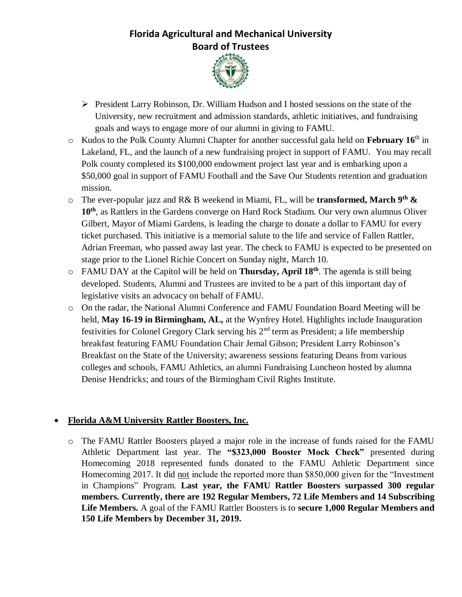

- ➢ President Larry Robinson, Dr. William Hudson and I hosted sessions on the state of the University, new recruitment and admission standards, athletic initiatives, and fundraising goals and ways to engage more of our alumni in giving to FAMU.
- o Kudos to the Polk County Alumni Chapter for another successful gala held on **February 16**th in Lakeland, FL, and the launch of a new fundraising project in support of FAMU. You may recall Polk county completed its \$100,000 endowment project last year and is embarking upon a \$50,000 goal in support of FAMU Football and the Save Our Students retention and graduation mission.
- o The ever-popular jazz and R& B weekend in Miami, FL, will be **transformed, March 9th & 10th**, as Rattlers in the Gardens converge on Hard Rock Stadium. Our very own alumnus Oliver Gilbert, Mayor of Miami Gardens, is leading the charge to donate a dollar to FAMU for every ticket purchased. This initiative is a memorial salute to the life and service of Fallen Rattler, Adrian Freeman, who passed away last year. The check to FAMU is expected to be presented on stage prior to the Lionel Richie Concert on Sunday night, March 10.
- o FAMU DAY at the Capitol will be held on **Thursday, April 18th**. The agenda is still being developed. Students, Alumni and Trustees are invited to be a part of this important day of legislative visits an advocacy on behalf of FAMU.
- o On the radar, the National Alumni Conference and FAMU Foundation Board Meeting will be held, **May 16-19 in Birmingham, AL,** at the Wynfrey Hotel. Highlights include Inauguration festivities for Colonel Gregory Clark serving his 2nd term as President; a life membership breakfast featuring FAMU Foundation Chair Jemal Gibson; President Larry Robinson's Breakfast on the State of the University; awareness sessions featuring Deans from various colleges and schools, FAMU Athletics, an alumni Fundraising Luncheon hosted by alumna Denise Hendricks; and tours of the Birmingham Civil Rights Institute.

### • **Florida A&M University Rattler Boosters, Inc.**

o The FAMU Rattler Boosters played a major role in the increase of funds raised for the FAMU Athletic Department last year. The **"\$323,000 Booster Mock Check"** presented during Homecoming 2018 represented funds donated to the FAMU Athletic Department since Homecoming 2017. It did not include the reported more than \$850,000 given for the "Investment in Champions" Program. **Last year, the FAMU Rattler Boosters surpassed 300 regular members. Currently, there are 192 Regular Members, 72 Life Members and 14 Subscribing Life Members.** A goal of the FAMU Rattler Boosters is to **secure 1,000 Regular Members and 150 Life Members by December 31, 2019.**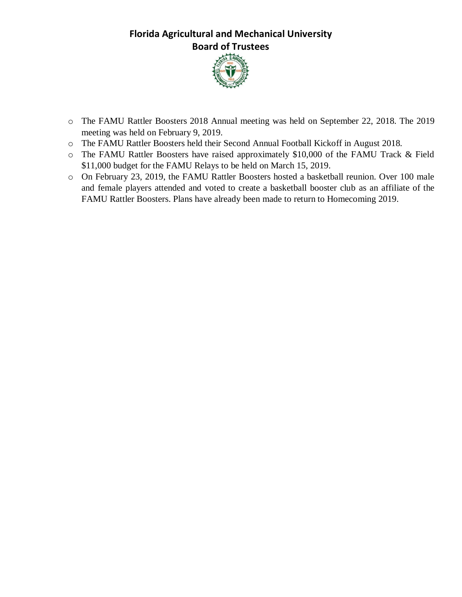

- o The FAMU Rattler Boosters 2018 Annual meeting was held on September 22, 2018. The 2019 meeting was held on February 9, 2019.
- o The FAMU Rattler Boosters held their Second Annual Football Kickoff in August 2018.
- o The FAMU Rattler Boosters have raised approximately \$10,000 of the FAMU Track & Field \$11,000 budget for the FAMU Relays to be held on March 15, 2019.
- o On February 23, 2019, the FAMU Rattler Boosters hosted a basketball reunion. Over 100 male and female players attended and voted to create a basketball booster club as an affiliate of the FAMU Rattler Boosters. Plans have already been made to return to Homecoming 2019.